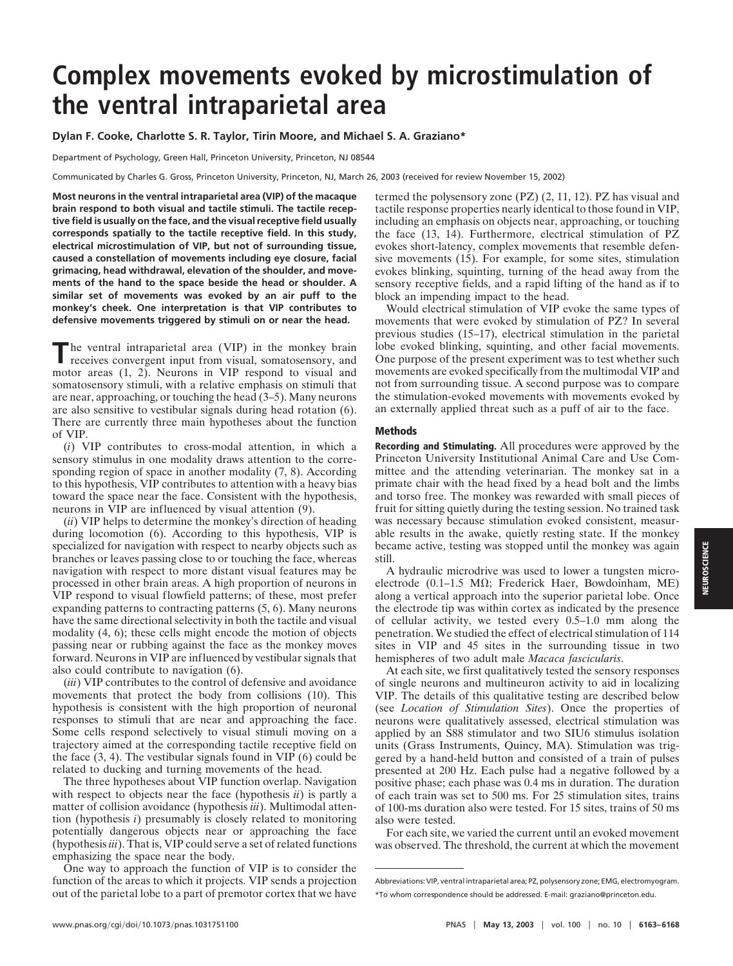# **Complex movements evoked by microstimulation of the ventral intraparietal area**

### **Dylan F. Cooke, Charlotte S. R. Taylor, Tirin Moore, and Michael S. A. Graziano\***

Department of Psychology, Green Hall, Princeton University, Princeton, NJ 08544

Communicated by Charles G. Gross, Princeton University, Princeton, NJ, March 26, 2003 (received for review November 15, 2002)

**Most neurons in the ventral intraparietal area (VIP) of the macaque brain respond to both visual and tactile stimuli. The tactile receptive field is usually on the face, and the visual receptive field usually corresponds spatially to the tactile receptive field. In this study, electrical microstimulation of VIP, but not of surrounding tissue, caused a constellation of movements including eye closure, facial grimacing, head withdrawal, elevation of the shoulder, and movements of the hand to the space beside the head or shoulder. A similar set of movements was evoked by an air puff to the monkey's cheek. One interpretation is that VIP contributes to defensive movements triggered by stimuli on or near the head.**

The ventral intraparietal area (VIP) in the monkey brain receives convergent input from visual, somatosensory, and motor areas (1, 2). Neurons in VIP respond to visual and somatosensory stimuli, with a relative emphasis on stimuli that are near, approaching, or touching the head (3–5). Many neurons are also sensitive to vestibular signals during head rotation (6). There are currently three main hypotheses about the function of VIP.

(*i*) VIP contributes to cross-modal attention, in which a sensory stimulus in one modality draws attention to the corresponding region of space in another modality  $(7, 8)$ . According to this hypothesis, VIP contributes to attention with a heavy bias toward the space near the face. Consistent with the hypothesis, neurons in VIP are influenced by visual attention (9).

(*ii*) VIP helps to determine the monkey's direction of heading during locomotion (6). According to this hypothesis, VIP is specialized for navigation with respect to nearby objects such as branches or leaves passing close to or touching the face, whereas navigation with respect to more distant visual features may be processed in other brain areas. A high proportion of neurons in VIP respond to visual flowfield patterns; of these, most prefer expanding patterns to contracting patterns (5, 6). Many neurons have the same directional selectivity in both the tactile and visual modality (4, 6); these cells might encode the motion of objects passing near or rubbing against the face as the monkey moves forward. Neurons in VIP are influenced by vestibular signals that also could contribute to navigation (6).

(*iii*) VIP contributes to the control of defensive and avoidance movements that protect the body from collisions (10). This hypothesis is consistent with the high proportion of neuronal responses to stimuli that are near and approaching the face. Some cells respond selectively to visual stimuli moving on a trajectory aimed at the corresponding tactile receptive field on the face (3, 4). The vestibular signals found in VIP (6) could be related to ducking and turning movements of the head.

The three hypotheses about VIP function overlap. Navigation with respect to objects near the face (hypothesis *ii*) is partly a matter of collision avoidance (hypothesis *iii*). Multimodal attention (hypothesis *i*) presumably is closely related to monitoring potentially dangerous objects near or approaching the face (hypothesis *iii*). That is, VIP could serve a set of related functions emphasizing the space near the body.

One way to approach the function of VIP is to consider the function of the areas to which it projects. VIP sends a projection out of the parietal lobe to a part of premotor cortex that we have termed the polysensory zone (PZ) (2, 11, 12). PZ has visual and tactile response properties nearly identical to those found in VIP, including an emphasis on objects near, approaching, or touching the face (13, 14). Furthermore, electrical stimulation of PZ evokes short-latency, complex movements that resemble defensive movements (15). For example, for some sites, stimulation evokes blinking, squinting, turning of the head away from the sensory receptive fields, and a rapid lifting of the hand as if to block an impending impact to the head.

Would electrical stimulation of VIP evoke the same types of movements that were evoked by stimulation of PZ? In several previous studies (15–17), electrical stimulation in the parietal lobe evoked blinking, squinting, and other facial movements. One purpose of the present experiment was to test whether such movements are evoked specifically from the multimodal VIP and not from surrounding tissue. A second purpose was to compare the stimulation-evoked movements with movements evoked by an externally applied threat such as a puff of air to the face.

#### **Methods**

**Recording and Stimulating.** All procedures were approved by the Princeton University Institutional Animal Care and Use Committee and the attending veterinarian. The monkey sat in a primate chair with the head fixed by a head bolt and the limbs and torso free. The monkey was rewarded with small pieces of fruit for sitting quietly during the testing session. No trained task was necessary because stimulation evoked consistent, measurable results in the awake, quietly resting state. If the monkey became active, testing was stopped until the monkey was again still.

A hydraulic microdrive was used to lower a tungsten microelectrode (0.1–1.5 M $\Omega$ ; Frederick Haer, Bowdoinham, ME) along a vertical approach into the superior parietal lobe. Once the electrode tip was within cortex as indicated by the presence of cellular activity, we tested every 0.5–1.0 mm along the penetration. We studied the effect of electrical stimulation of 114 sites in VIP and 45 sites in the surrounding tissue in two hemispheres of two adult male *Macaca fascicularis*.

At each site, we first qualitatively tested the sensory responses of single neurons and multineuron activity to aid in localizing VIP. The details of this qualitative testing are described below (see *Location of Stimulation Sites*). Once the properties of neurons were qualitatively assessed, electrical stimulation was applied by an S88 stimulator and two SIU6 stimulus isolation units (Grass Instruments, Quincy, MA). Stimulation was triggered by a hand-held button and consisted of a train of pulses presented at 200 Hz. Each pulse had a negative followed by a positive phase; each phase was 0.4 ms in duration. The duration of each train was set to 500 ms. For 25 stimulation sites, trains of 100-ms duration also were tested. For 15 sites, trains of 50 ms also were tested.

For each site, we varied the current until an evoked movement was observed. The threshold, the current at which the movement

Abbreviations: VIP, ventral intraparietal area; PZ, polysensory zone; EMG, electromyogram. \*To whom correspondence should be addressed. E-mail: graziano@princeton.edu.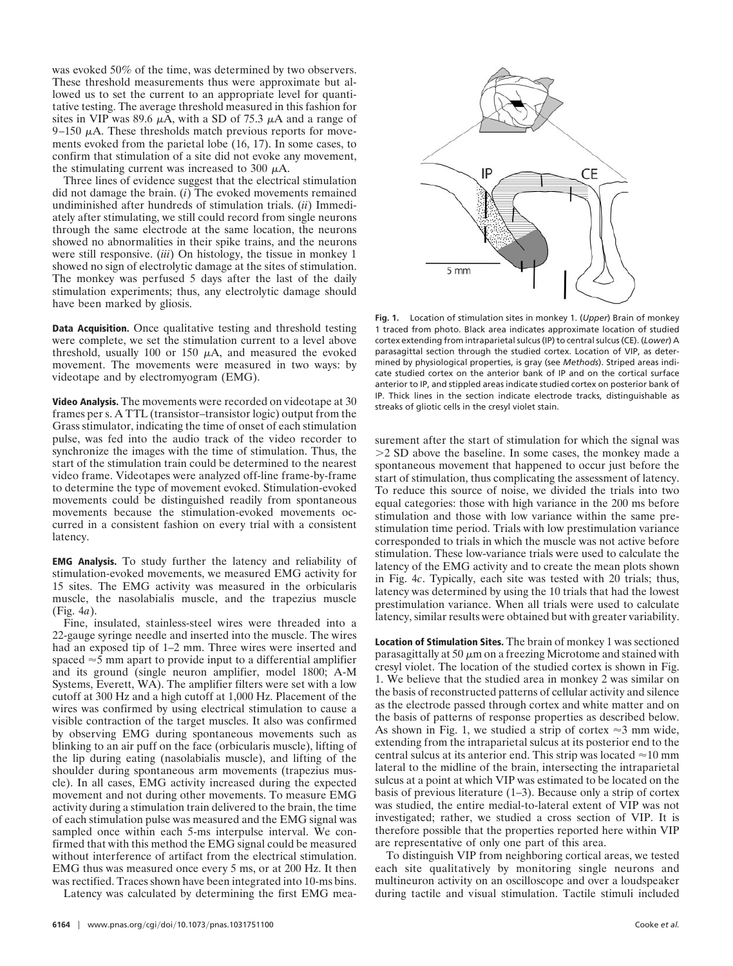was evoked 50% of the time, was determined by two observers. These threshold measurements thus were approximate but allowed us to set the current to an appropriate level for quantitative testing. The average threshold measured in this fashion for sites in VIP was 89.6  $\mu$ A, with a SD of 75.3  $\mu$ A and a range of 9–150  $\mu$ A. These thresholds match previous reports for movements evoked from the parietal lobe (16, 17). In some cases, to confirm that stimulation of a site did not evoke any movement, the stimulating current was increased to 300  $\mu$ A.

Three lines of evidence suggest that the electrical stimulation did not damage the brain. (*i*) The evoked movements remained undiminished after hundreds of stimulation trials. (*ii*) Immediately after stimulating, we still could record from single neurons through the same electrode at the same location, the neurons showed no abnormalities in their spike trains, and the neurons were still responsive. (*iii*) On histology, the tissue in monkey 1 showed no sign of electrolytic damage at the sites of stimulation. The monkey was perfused 5 days after the last of the daily stimulation experiments; thus, any electrolytic damage should have been marked by gliosis.

**Data Acquisition.** Once qualitative testing and threshold testing were complete, we set the stimulation current to a level above threshold, usually 100 or 150  $\mu$ A, and measured the evoked movement. The movements were measured in two ways: by videotape and by electromyogram (EMG).

**Video Analysis.** The movements were recorded on videotape at 30 frames per s. A TTL (transistor–transistor logic) output from the Grass stimulator, indicating the time of onset of each stimulation pulse, was fed into the audio track of the video recorder to synchronize the images with the time of stimulation. Thus, the start of the stimulation train could be determined to the nearest video frame. Videotapes were analyzed off-line frame-by-frame to determine the type of movement evoked. Stimulation-evoked movements could be distinguished readily from spontaneous movements because the stimulation-evoked movements occurred in a consistent fashion on every trial with a consistent latency.

**EMG Analysis.** To study further the latency and reliability of stimulation-evoked movements, we measured EMG activity for 15 sites. The EMG activity was measured in the orbicularis muscle, the nasolabialis muscle, and the trapezius muscle (Fig. 4*a*).

Fine, insulated, stainless-steel wires were threaded into a 22-gauge syringe needle and inserted into the muscle. The wires had an exposed tip of 1–2 mm. Three wires were inserted and spaced  $\approx$  5 mm apart to provide input to a differential amplifier and its ground (single neuron amplifier, model 1800; A-M Systems, Everett, WA). The amplifier filters were set with a low cutoff at 300 Hz and a high cutoff at 1,000 Hz. Placement of the wires was confirmed by using electrical stimulation to cause a visible contraction of the target muscles. It also was confirmed by observing EMG during spontaneous movements such as blinking to an air puff on the face (orbicularis muscle), lifting of the lip during eating (nasolabialis muscle), and lifting of the shoulder during spontaneous arm movements (trapezius muscle). In all cases, EMG activity increased during the expected movement and not during other movements. To measure EMG activity during a stimulation train delivered to the brain, the time of each stimulation pulse was measured and the EMG signal was sampled once within each 5-ms interpulse interval. We confirmed that with this method the EMG signal could be measured without interference of artifact from the electrical stimulation. EMG thus was measured once every 5 ms, or at 200 Hz. It then was rectified. Traces shown have been integrated into 10-ms bins. Latency was calculated by determining the first EMG mea-



**Fig. 1.** Location of stimulation sites in monkey 1. (*Upper*) Brain of monkey 1 traced from photo. Black area indicates approximate location of studied cortex extending from intraparietal sulcus (IP) to central sulcus (CE). (*Lower*) A parasagittal section through the studied cortex. Location of VIP, as determined by physiological properties, is gray (see *Methods*). Striped areas indicate studied cortex on the anterior bank of IP and on the cortical surface anterior to IP, and stippled areas indicate studied cortex on posterior bank of IP. Thick lines in the section indicate electrode tracks, distinguishable as streaks of gliotic cells in the cresyl violet stain.

surement after the start of stimulation for which the signal was .2 SD above the baseline. In some cases, the monkey made a spontaneous movement that happened to occur just before the start of stimulation, thus complicating the assessment of latency. To reduce this source of noise, we divided the trials into two equal categories: those with high variance in the 200 ms before stimulation and those with low variance within the same prestimulation time period. Trials with low prestimulation variance corresponded to trials in which the muscle was not active before stimulation. These low-variance trials were used to calculate the latency of the EMG activity and to create the mean plots shown in Fig. 4*c*. Typically, each site was tested with 20 trials; thus, latency was determined by using the 10 trials that had the lowest prestimulation variance. When all trials were used to calculate latency, similar results were obtained but with greater variability.

**Location of Stimulation Sites.** The brain of monkey 1 was sectioned parasagittally at 50  $\mu$ m on a freezing Microtome and stained with cresyl violet. The location of the studied cortex is shown in Fig. 1. We believe that the studied area in monkey 2 was similar on the basis of reconstructed patterns of cellular activity and silence as the electrode passed through cortex and white matter and on the basis of patterns of response properties as described below. As shown in Fig. 1, we studied a strip of cortex  $\approx$  3 mm wide, extending from the intraparietal sulcus at its posterior end to the central sulcus at its anterior end. This strip was located  $\approx$  10 mm lateral to the midline of the brain, intersecting the intraparietal sulcus at a point at which VIP was estimated to be located on the basis of previous literature (1–3). Because only a strip of cortex was studied, the entire medial-to-lateral extent of VIP was not investigated; rather, we studied a cross section of VIP. It is therefore possible that the properties reported here within VIP are representative of only one part of this area.

To distinguish VIP from neighboring cortical areas, we tested each site qualitatively by monitoring single neurons and multineuron activity on an oscilloscope and over a loudspeaker during tactile and visual stimulation. Tactile stimuli included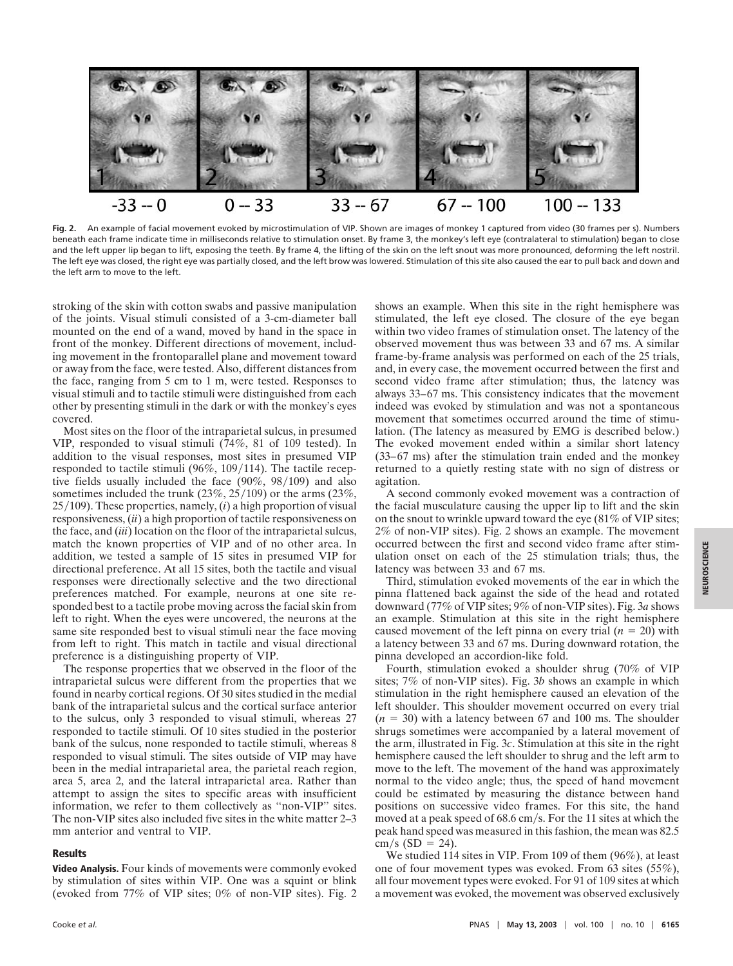

**Fig. 2.** An example of facial movement evoked by microstimulation of VIP. Shown are images of monkey 1 captured from video (30 frames per s). Numbers beneath each frame indicate time in milliseconds relative to stimulation onset. By frame 3, the monkey's left eye (contralateral to stimulation) began to close and the left upper lip began to lift, exposing the teeth. By frame 4, the lifting of the skin on the left snout was more pronounced, deforming the left nostril. The left eye was closed, the right eye was partially closed, and the left brow was lowered. Stimulation of this site also caused the ear to pull back and down and the left arm to move to the left.

stroking of the skin with cotton swabs and passive manipulation of the joints. Visual stimuli consisted of a 3-cm-diameter ball mounted on the end of a wand, moved by hand in the space in front of the monkey. Different directions of movement, including movement in the frontoparallel plane and movement toward or away from the face, were tested. Also, different distances from the face, ranging from 5 cm to 1 m, were tested. Responses to visual stimuli and to tactile stimuli were distinguished from each other by presenting stimuli in the dark or with the monkey's eyes covered.

Most sites on the floor of the intraparietal sulcus, in presumed VIP, responded to visual stimuli (74%, 81 of 109 tested). In addition to the visual responses, most sites in presumed VIP responded to tactile stimuli  $(96\%, 109/114)$ . The tactile receptive fields usually included the face  $(90\%, 98/109)$  and also sometimes included the trunk  $(23\%, 25/109)$  or the arms  $(23\%,$  $25/109$ ). These properties, namely,  $(i)$  a high proportion of visual responsiveness, (*ii*) a high proportion of tactile responsiveness on the face, and (*iii*) location on the floor of the intraparietal sulcus, match the known properties of VIP and of no other area. In addition, we tested a sample of 15 sites in presumed VIP for directional preference. At all 15 sites, both the tactile and visual responses were directionally selective and the two directional preferences matched. For example, neurons at one site responded best to a tactile probe moving across the facial skin from left to right. When the eyes were uncovered, the neurons at the same site responded best to visual stimuli near the face moving from left to right. This match in tactile and visual directional preference is a distinguishing property of VIP.

The response properties that we observed in the floor of the intraparietal sulcus were different from the properties that we found in nearby cortical regions. Of 30 sites studied in the medial bank of the intraparietal sulcus and the cortical surface anterior to the sulcus, only 3 responded to visual stimuli, whereas 27 responded to tactile stimuli. Of 10 sites studied in the posterior bank of the sulcus, none responded to tactile stimuli, whereas 8 responded to visual stimuli. The sites outside of VIP may have been in the medial intraparietal area, the parietal reach region, area 5, area 2, and the lateral intraparietal area. Rather than attempt to assign the sites to specific areas with insufficient information, we refer to them collectively as ''non-VIP'' sites. The non-VIP sites also included five sites in the white matter 2–3 mm anterior and ventral to VIP.

## **Results**

**Video Analysis.** Four kinds of movements were commonly evoked by stimulation of sites within VIP. One was a squint or blink (evoked from 77% of VIP sites; 0% of non-VIP sites). Fig. 2 shows an example. When this site in the right hemisphere was stimulated, the left eye closed. The closure of the eye began within two video frames of stimulation onset. The latency of the observed movement thus was between 33 and 67 ms. A similar frame-by-frame analysis was performed on each of the 25 trials, and, in every case, the movement occurred between the first and second video frame after stimulation; thus, the latency was always 33–67 ms. This consistency indicates that the movement indeed was evoked by stimulation and was not a spontaneous movement that sometimes occurred around the time of stimulation. (The latency as measured by EMG is described below.) The evoked movement ended within a similar short latency (33–67 ms) after the stimulation train ended and the monkey returned to a quietly resting state with no sign of distress or agitation.

A second commonly evoked movement was a contraction of the facial musculature causing the upper lip to lift and the skin on the snout to wrinkle upward toward the eye (81% of VIP sites; 2% of non-VIP sites). Fig. 2 shows an example. The movement occurred between the first and second video frame after stimulation onset on each of the 25 stimulation trials; thus, the latency was between 33 and 67 ms.

Third, stimulation evoked movements of the ear in which the pinna flattened back against the side of the head and rotated downward (77% of VIP sites; 9% of non-VIP sites). Fig. 3*a* shows an example. Stimulation at this site in the right hemisphere caused movement of the left pinna on every trial  $(n = 20)$  with a latency between 33 and 67 ms. During downward rotation, the pinna developed an accordion-like fold.

Fourth, stimulation evoked a shoulder shrug (70% of VIP sites; 7% of non-VIP sites). Fig. 3*b* shows an example in which stimulation in the right hemisphere caused an elevation of the left shoulder. This shoulder movement occurred on every trial  $(n = 30)$  with a latency between 67 and 100 ms. The shoulder shrugs sometimes were accompanied by a lateral movement of the arm, illustrated in Fig. 3*c*. Stimulation at this site in the right hemisphere caused the left shoulder to shrug and the left arm to move to the left. The movement of the hand was approximately normal to the video angle; thus, the speed of hand movement could be estimated by measuring the distance between hand positions on successive video frames. For this site, the hand moved at a peak speed of 68.6 cm/s. For the 11 sites at which the peak hand speed was measured in this fashion, the mean was 82.5  $cm/s (SD = 24)$ .

We studied 114 sites in VIP. From 109 of them (96%), at least one of four movement types was evoked. From 63 sites (55%), all four movement types were evoked. For 91 of 109 sites at which a movement was evoked, the movement was observed exclusively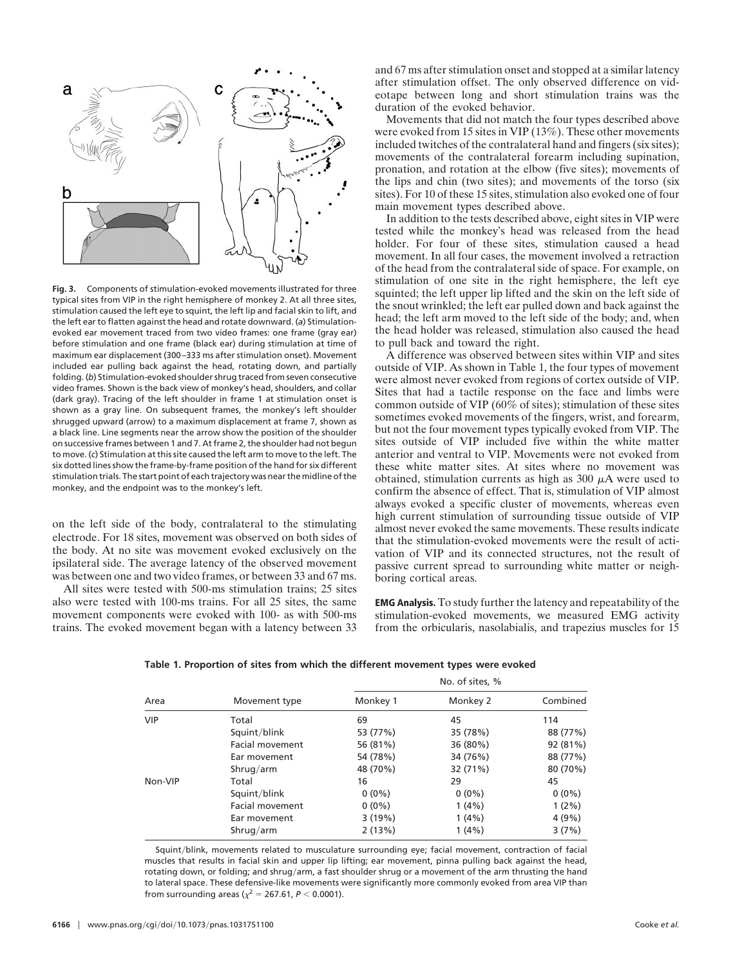

**Fig. 3.** Components of stimulation-evoked movements illustrated for three typical sites from VIP in the right hemisphere of monkey 2. At all three sites, stimulation caused the left eye to squint, the left lip and facial skin to lift, and the left ear to flatten against the head and rotate downward. (*a*) Stimulationevoked ear movement traced from two video frames: one frame (gray ear) before stimulation and one frame (black ear) during stimulation at time of maximum ear displacement (300–333 ms after stimulation onset). Movement included ear pulling back against the head, rotating down, and partially folding. (*b*) Stimulation-evoked shoulder shrug traced from seven consecutive video frames. Shown is the back view of monkey's head, shoulders, and collar (dark gray). Tracing of the left shoulder in frame 1 at stimulation onset is shown as a gray line. On subsequent frames, the monkey's left shoulder shrugged upward (arrow) to a maximum displacement at frame 7, shown as a black line. Line segments near the arrow show the position of the shoulder on successive frames between 1 and 7. At frame 2, the shoulder had not begun to move. (*c*) Stimulation at this site caused the left arm to move to the left. The six dotted lines show the frame-by-frame position of the hand for six different stimulation trials. The start point of each trajectory was near the midline of the monkey, and the endpoint was to the monkey's left.

on the left side of the body, contralateral to the stimulating electrode. For 18 sites, movement was observed on both sides of the body. At no site was movement evoked exclusively on the ipsilateral side. The average latency of the observed movement was between one and two video frames, or between 33 and 67 ms.

All sites were tested with 500-ms stimulation trains; 25 sites also were tested with 100-ms trains. For all 25 sites, the same movement components were evoked with 100- as with 500-ms trains. The evoked movement began with a latency between 33 and 67 ms after stimulation onset and stopped at a similar latency after stimulation offset. The only observed difference on videotape between long and short stimulation trains was the duration of the evoked behavior.

Movements that did not match the four types described above were evoked from 15 sites in VIP (13%). These other movements included twitches of the contralateral hand and fingers (six sites); movements of the contralateral forearm including supination, pronation, and rotation at the elbow (five sites); movements of the lips and chin (two sites); and movements of the torso (six sites). For 10 of these 15 sites, stimulation also evoked one of four main movement types described above.

In addition to the tests described above, eight sites in VIP were tested while the monkey's head was released from the head holder. For four of these sites, stimulation caused a head movement. In all four cases, the movement involved a retraction of the head from the contralateral side of space. For example, on stimulation of one site in the right hemisphere, the left eye squinted; the left upper lip lifted and the skin on the left side of the snout wrinkled; the left ear pulled down and back against the head; the left arm moved to the left side of the body; and, when the head holder was released, stimulation also caused the head to pull back and toward the right.

A difference was observed between sites within VIP and sites outside of VIP. As shown in Table 1, the four types of movement were almost never evoked from regions of cortex outside of VIP. Sites that had a tactile response on the face and limbs were common outside of VIP ( $60\%$  of sites); stimulation of these sites sometimes evoked movements of the fingers, wrist, and forearm, but not the four movement types typically evoked from VIP. The sites outside of VIP included five within the white matter anterior and ventral to VIP. Movements were not evoked from these white matter sites. At sites where no movement was obtained, stimulation currents as high as  $300 \mu A$  were used to confirm the absence of effect. That is, stimulation of VIP almost always evoked a specific cluster of movements, whereas even high current stimulation of surrounding tissue outside of VIP almost never evoked the same movements. These results indicate that the stimulation-evoked movements were the result of activation of VIP and its connected structures, not the result of passive current spread to surrounding white matter or neighboring cortical areas.

**EMG Analysis.** To study further the latency and repeatability of the stimulation-evoked movements, we measured EMG activity from the orbicularis, nasolabialis, and trapezius muscles for 15

| Area       | Movement type          | No. of sites, % |          |          |
|------------|------------------------|-----------------|----------|----------|
|            |                        | Monkey 1        | Monkey 2 | Combined |
| <b>VIP</b> | Total                  | 69              | 45       | 114      |
|            | Squint/blink           | 53 (77%)        | 35 (78%) | 88 (77%) |
|            | <b>Facial movement</b> | 56 (81%)        | 36 (80%) | 92 (81%) |
|            | Ear movement           | 54 (78%)        | 34 (76%) | 88 (77%) |
|            | Shrug/arm              | 48 (70%)        | 32 (71%) | 80 (70%) |
| Non-VIP    | Total                  | 16              | 29       | 45       |
|            | Squint/blink           | $0(0\%)$        | $0(0\%)$ | $0(0\%)$ |
|            | <b>Facial movement</b> | $0(0\%)$        | 1(4%)    | $1(2\%)$ |
|            | Ear movement           | 3(19%)          | 1(4%)    | 4 (9%)   |
|            | Shrug/arm              | 2(13%)          | 1(4%)    | 3(7%)    |

**Table 1. Proportion of sites from which the different movement types were evoked**

Squint/blink, movements related to musculature surrounding eye; facial movement, contraction of facial muscles that results in facial skin and upper lip lifting; ear movement, pinna pulling back against the head, rotating down, or folding; and shrug/arm, a fast shoulder shrug or a movement of the arm thrusting the hand to lateral space. These defensive-like movements were significantly more commonly evoked from area VIP than from surrounding areas ( $\chi^2$  = 267.61, *P* < 0.0001).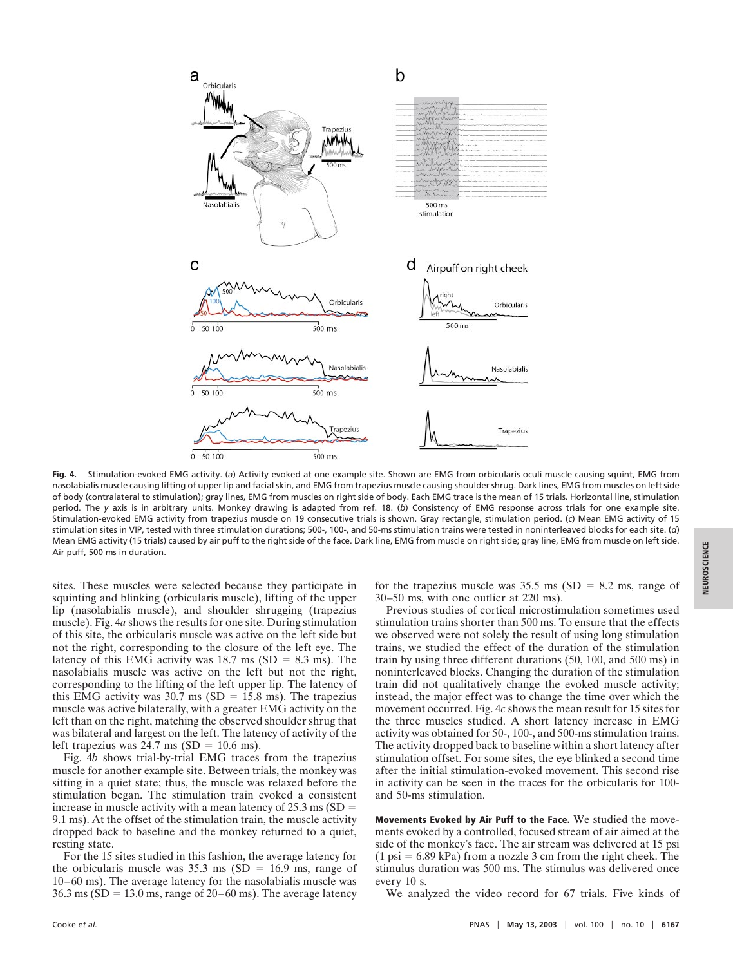

**Fig. 4.** Stimulation-evoked EMG activity. (*a*) Activity evoked at one example site. Shown are EMG from orbicularis oculi muscle causing squint, EMG from nasolabialis muscle causing lifting of upper lip and facial skin, and EMG from trapezius muscle causing shoulder shrug. Dark lines, EMG from muscles on left side of body (contralateral to stimulation); gray lines, EMG from muscles on right side of body. Each EMG trace is the mean of 15 trials. Horizontal line, stimulation period. The *y* axis is in arbitrary units. Monkey drawing is adapted from ref. 18. (*b*) Consistency of EMG response across trials for one example site. Stimulation-evoked EMG activity from trapezius muscle on 19 consecutive trials is shown. Gray rectangle, stimulation period. (*c*) Mean EMG activity of 15 stimulation sites in VIP, tested with three stimulation durations; 500-, 100-, and 50-ms stimulation trains were tested in noninterleaved blocks for each site. (*d*) Mean EMG activity (15 trials) caused by air puff to the right side of the face. Dark line, EMG from muscle on right side; gray line, EMG from muscle on left side. Air puff, 500 ms in duration.

sites. These muscles were selected because they participate in squinting and blinking (orbicularis muscle), lifting of the upper lip (nasolabialis muscle), and shoulder shrugging (trapezius muscle). Fig. 4*a* shows the results for one site. During stimulation of this site, the orbicularis muscle was active on the left side but not the right, corresponding to the closure of the left eye. The latency of this EMG activity was  $18.7 \text{ ms (SD} = 8.3 \text{ ms})$ . The nasolabialis muscle was active on the left but not the right, corresponding to the lifting of the left upper lip. The latency of this EMG activity was  $30.7 \text{ ms (SD} = 15.8 \text{ ms})$ . The trapezius muscle was active bilaterally, with a greater EMG activity on the left than on the right, matching the observed shoulder shrug that was bilateral and largest on the left. The latency of activity of the left trapezius was  $24.7 \text{ ms (SD} = 10.6 \text{ ms}).$ 

Fig. 4*b* shows trial-by-trial EMG traces from the trapezius muscle for another example site. Between trials, the monkey was sitting in a quiet state; thus, the muscle was relaxed before the stimulation began. The stimulation train evoked a consistent increase in muscle activity with a mean latency of  $25.3 \text{ ms}$  (SD = 9.1 ms). At the offset of the stimulation train, the muscle activity dropped back to baseline and the monkey returned to a quiet, resting state.

For the 15 sites studied in this fashion, the average latency for the orbicularis muscle was  $35.3 \text{ ms}$  (SD = 16.9 ms, range of 10–60 ms). The average latency for the nasolabialis muscle was  $36.3 \text{ ms}$  (SD = 13.0 ms, range of 20–60 ms). The average latency for the trapezius muscle was  $35.5$  ms (SD = 8.2 ms, range of 30–50 ms, with one outlier at 220 ms).

Previous studies of cortical microstimulation sometimes used stimulation trains shorter than 500 ms. To ensure that the effects we observed were not solely the result of using long stimulation trains, we studied the effect of the duration of the stimulation train by using three different durations (50, 100, and 500 ms) in noninterleaved blocks. Changing the duration of the stimulation train did not qualitatively change the evoked muscle activity; instead, the major effect was to change the time over which the movement occurred. Fig. 4*c* shows the mean result for 15 sites for the three muscles studied. A short latency increase in EMG activity was obtained for 50-, 100-, and 500-ms stimulation trains. The activity dropped back to baseline within a short latency after stimulation offset. For some sites, the eye blinked a second time after the initial stimulation-evoked movement. This second rise in activity can be seen in the traces for the orbicularis for 100 and 50-ms stimulation.

**Movements Evoked by Air Puff to the Face.** We studied the movements evoked by a controlled, focused stream of air aimed at the side of the monkey's face. The air stream was delivered at 15 psi  $(1 \text{ psi} = 6.89 \text{ kPa})$  from a nozzle 3 cm from the right cheek. The stimulus duration was 500 ms. The stimulus was delivered once every 10 s.

We analyzed the video record for 67 trials. Five kinds of